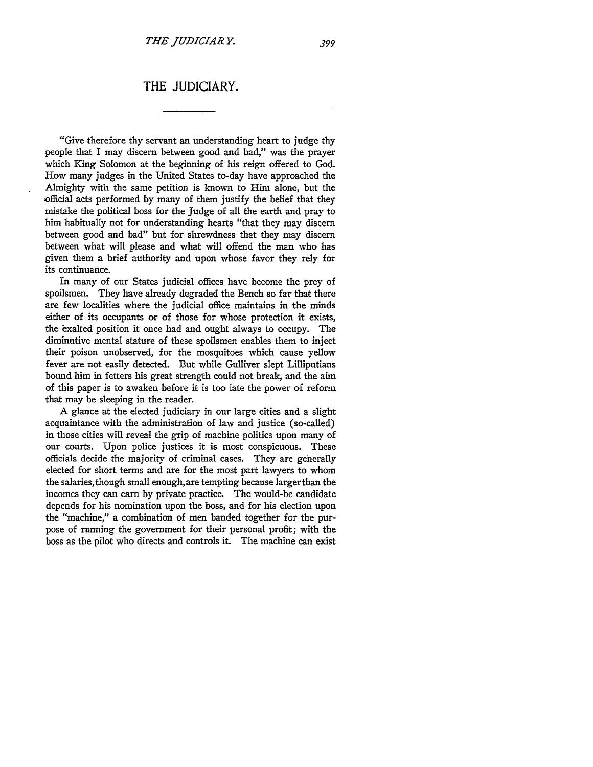## THE JUDICIARY.

"Give therefore thy servant an understanding heart to judge thy people that I may discern between good and bad," was the prayer which King Solomon at the beginning of his reign offered to God. How many judges in the United States to-day have approached the Almighty with the same petition is known to Him alone, but the official acts performed by many of them justify the belief that they mistake the political boss for the Judge of all the earth and pray to him habitually not for understanding hearts "that they may discern between good and bad" but for shrewdness that they may discern between what will please and what will offend the man who has given them a brief authority and upon whose favor they rely for its continuance.

In many of our States judicial offices have become the prey of spoilsmen. They have already degraded the Bench so far that there are few localities where the judicial office maintains in the minds either of its occupants or of those for whose protection it exists, the ixalted position it once had and ought always to occupy. The diminutive mental stature of these spoilsmen enables them to inject their poison unobserved, for the mosquitoes which cause yellow fever are not easily detected. But while Gulliver slept Lilliputians bound him in fetters his great strength could not break, and the aim of this paper is to awaken before it is too late the power of reform that may be sleeping in the reader.

A glance at the elected judiciary in our large cities and a slight acquaintance with the administration of law and justice (so-called) in those cities will reveal the grip of machine politics upon many of our courts. Upon police justices it is most conspicuous. These officials decide the majority of criminal cases. They are generally elected for short terms and are for the most part lawyers to whom the salaries, though small enough, are tempting because larger than the incomes they can earn by private practice. The would-be candidate depends for his nomination upon the boss, and for his election upon the "machine," a combination of men banded together for the purpose of running the government for their personal profit; with the boss as the pilot who directs and controls it. The machine can exist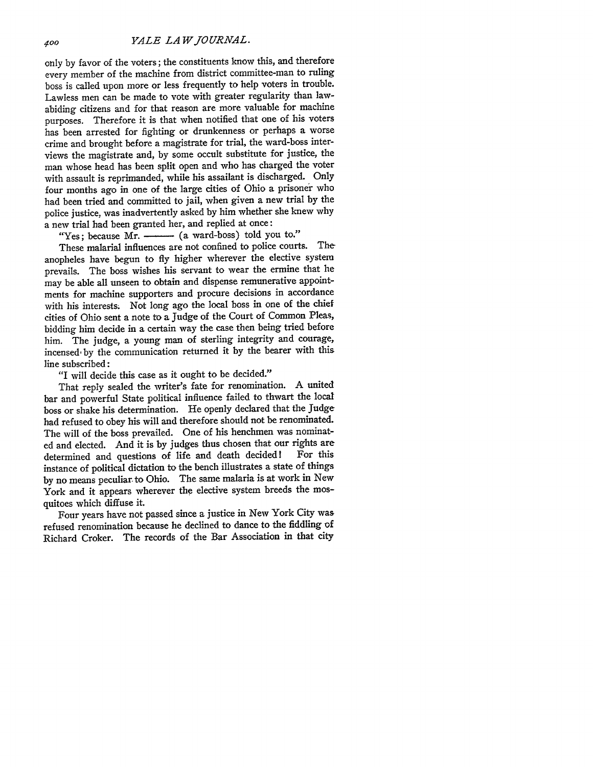only by favor of the voters; the constituents know this, and therefore every member of the machine from district committee-man to ruling boss is called upon more or less frequently to help voters in trouble. Lawless men can be made to vote with greater regularity than lawabiding citizens and for that reason are more valuable for machine purposes. Therefore it is that when notified that one of his voters has been arrested for fighting or drunkenness or perhaps a worse crime and brought before a magistrate for trial, the ward-boss interviews the magistrate and, by some occult substitute for justice, the man whose head has been split open and who has charged the voter with assault is reprimanded, while his assailant is discharged. Only four months ago in one of the large cities of Ohio a prisoner who had been tried and committed to jail, when given a new trial by the police justice, was inadvertently asked by him whether she knew why a new trial had been granted her, and replied at once:

"Yes; because Mr. ----- (a ward-boss) told you to."

These malarial influences are not confined to police courts. The anopheles have begun to fly higher wherever the elective system prevails. The boss wishes his servant to wear the ermine that he may be able all unseen to obtain and dispense remunerative appointments for machine supporters and procure decisions in accordance with his interests; Not long ago the local boss in one of the chief cities of Ohio sent a note to a Judge of the Court of Common Pleas, bidding him decide in a certain way the case then being tried before him. The judge, a young man of sterling integrity and courage, incensed, by the communication returned it by the bearer with this line subscribed:

"I will decide this case as it ought to be decided."

That reply sealed the writer's fate for renomination. A united bar and powerful State political influence failed to thwart the local boss or shake his determination. He openly declared that the Judge had refused to obey his will and therefore should not be renominated. The will of the boss prevailed. One of his henchmen was nominated and elected. And it is by judges thus chosen that our rights are<br>determined and questions of life and death decided! For this determined and questions of life and death decided! instance of political dictation to the bench illustrates a state of things by no means peculiar. to Ohio. The same malaria is at work in New York and it appears wherever the elective system breeds the mosquitoes which diffuse it.

Four years have not passed since a justice in New York City was refused renomination because he declined to dance to the fiddling of Richard Croker. The records of the Bar Association in that city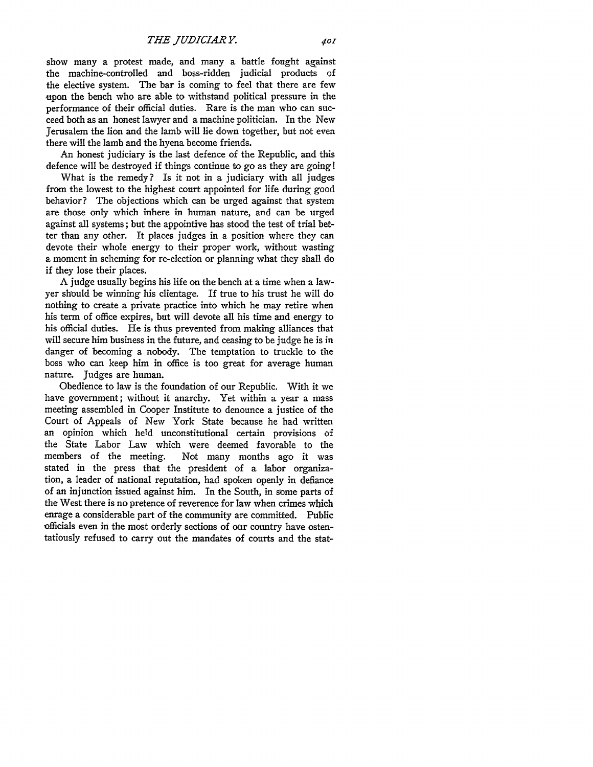show many a protest made, and many a battle fought against the machine-controlled and boss-ridden judicial products of the elective system. The bar is coming to feel that there are few -upon the bench who are able to withstand political pressure in the performance of their official duties. Rare is the man who can succeed both as an honest lawyer and a machine politician. In the New Jerusalem the lion and the lamb will lie down together, but not even there will the lamb and the hyena become friends.

An honest judiciary is the last defence of the Republic, and this defence will be destroyed if things continue to go as they are going!

What is the remedy? Is it not in a judiciary with all judges from the lowest to the highest court appointed for life during good behavior? The objections which can be urged against that system are those only which inhere in human nature, and can be urged against all systems; but the appointive has stood the test of trial better than any other. It places judges in a position where they can devote their whole energy to their proper work, without wasting a moment in scheming for re-election or planning what they shall do if they lose their places.

A judge usually begins his life on the bench at a time when a lawyer should be winning his clientage. If true to his trust he will do nothing to create a private practice into which he may retire when his term of office expires, but will devote all his time and energy to his official duties. He is thus prevented from making alliances that will secure him business in the future, and ceasing to be judge he is in danger of becoming a nobody. The temptation to truckle to the boss who can keep him in office is too great for average human nature. Judges are human.

Obedience to law is the foundation of our Republic. With it we have government; without it anarchy. Yet within a year a mass meeting assembled in Cooper Institute to denounce a justice of the Court of Appeals of New York State because he had written an opinion which held unconstitutional certain provisions of the State Labor Law which were deemed favorable to the members of the meeting. Not many months ago it was stated in the press that the president of a labor organization, a leader of national reputation, had spoken openly in defiance of an injunction issued against him. In the South, in some parts of the West there is no pretence of reverence for law when crimes which enrage a considerable part of the community are committed. Public officials even in the most orderly sections of our country have ostentatiously refused to carry out the mandates of courts and the stat-